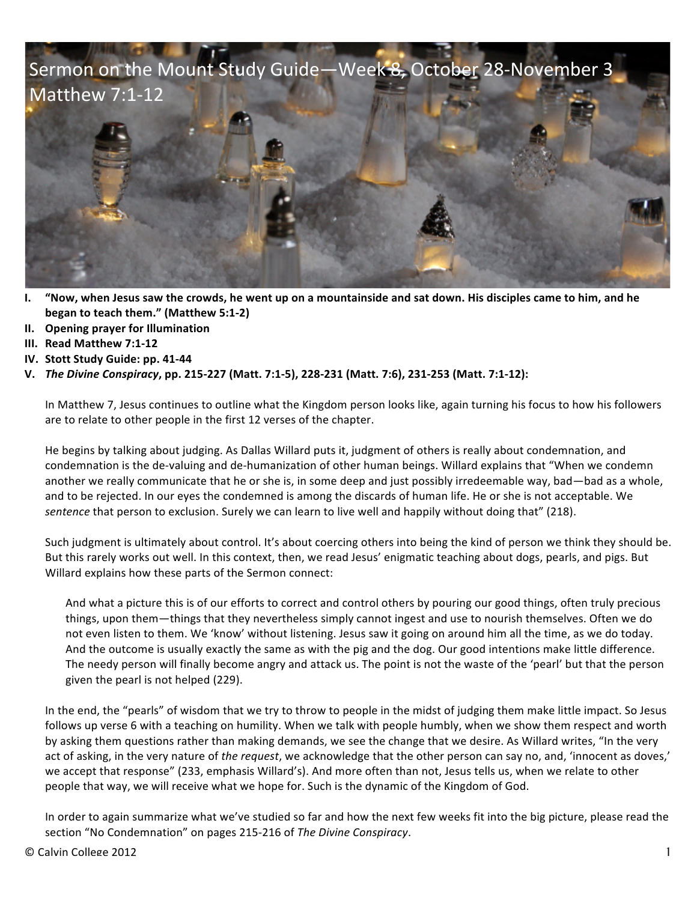

- **I.** "Now, when Jesus saw the crowds, he went up on a mountainside and sat down. His disciples came to him, and he **began to teach them." (Matthew 5:1-2)**
- **II. Opening prayer for Illumination**
- **III. Read Matthew 7:1-12**
- **IV.** Stott Study Guide: pp. 41-44
- **V.** *The Divine Conspiracy***, pp. 215-227 (Matt. 7:1-5), 228-231 (Matt. 7:6), 231-253 (Matt. 7:1-12):**

In Matthew 7, Jesus continues to outline what the Kingdom person looks like, again turning his focus to how his followers are to relate to other people in the first 12 verses of the chapter.

He begins by talking about judging. As Dallas Willard puts it, judgment of others is really about condemnation, and condemnation is the de-valuing and de-humanization of other human beings. Willard explains that "When we condemn another we really communicate that he or she is, in some deep and just possibly irredeemable way, bad—bad as a whole, and to be rejected. In our eyes the condemned is among the discards of human life. He or she is not acceptable. We sentence that person to exclusion. Surely we can learn to live well and happily without doing that" (218).

Such judgment is ultimately about control. It's about coercing others into being the kind of person we think they should be. But this rarely works out well. In this context, then, we read Jesus' enigmatic teaching about dogs, pearls, and pigs. But Willard explains how these parts of the Sermon connect:

And what a picture this is of our efforts to correct and control others by pouring our good things, often truly precious things, upon them—things that they nevertheless simply cannot ingest and use to nourish themselves. Often we do not even listen to them. We 'know' without listening. Jesus saw it going on around him all the time, as we do today. And the outcome is usually exactly the same as with the pig and the dog. Our good intentions make little difference. The needy person will finally become angry and attack us. The point is not the waste of the 'pearl' but that the person given the pearl is not helped (229).

In the end, the "pearls" of wisdom that we try to throw to people in the midst of judging them make little impact. So Jesus follows up verse 6 with a teaching on humility. When we talk with people humbly, when we show them respect and worth by asking them questions rather than making demands, we see the change that we desire. As Willard writes, "In the very act of asking, in the very nature of the request, we acknowledge that the other person can say no, and, 'innocent as doves,' we accept that response" (233, emphasis Willard's). And more often than not, Jesus tells us, when we relate to other people that way, we will receive what we hope for. Such is the dynamic of the Kingdom of God.

In order to again summarize what we've studied so far and how the next few weeks fit into the big picture, please read the section "No Condemnation" on pages 215-216 of The Divine Conspiracy.